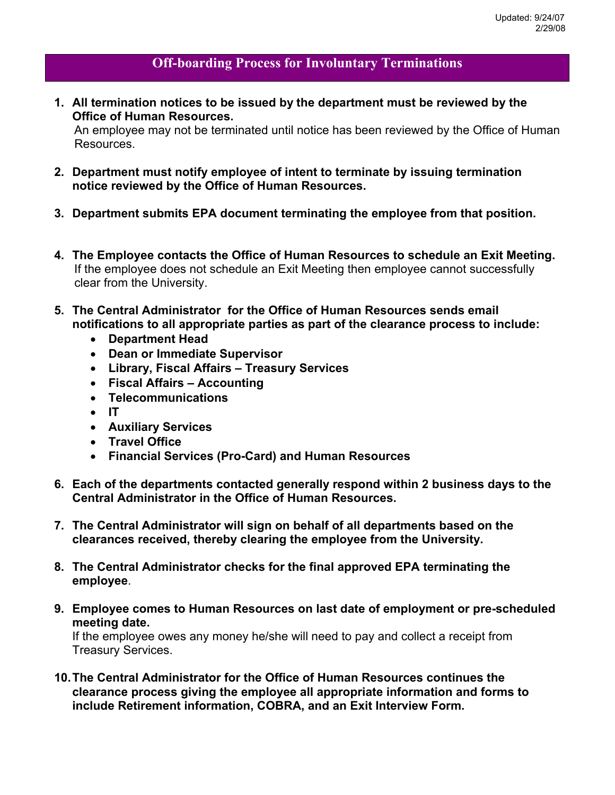## **Off-boarding Process for Involuntary Terminations**

**1. All termination notices to be issued by the department must be reviewed by the Office of Human Resources.** 

An employee may not be terminated until notice has been reviewed by the Office of Human Resources.

- **2. Department must notify employee of intent to terminate by issuing termination notice reviewed by the Office of Human Resources.**
- **3. Department submits EPA document terminating the employee from that position.**
- **4. The Employee contacts the Office of Human Resources to schedule an Exit Meeting.** If the employee does not schedule an Exit Meeting then employee cannot successfully clear from the University.
- **5. The Central Administrator for the Office of Human Resources sends email notifications to all appropriate parties as part of the clearance process to include:** 
	- ! **Department Head**
	- ! **Dean or Immediate Supervisor**
	- ! **Library, Fiscal Affairs Treasury Services**
	- ! **Fiscal Affairs Accounting**
	- ! **Telecommunications**
	- $\bullet$  IT
	- ! **Auxiliary Services**
	- ! **Travel Office**
	- ! **Financial Services (Pro-Card) and Human Resources**
- **6. Each of the departments contacted generally respond within 2 business days to the Central Administrator in the Office of Human Resources.**
- **7. The Central Administrator will sign on behalf of all departments based on the clearances received, thereby clearing the employee from the University.**
- **8. The Central Administrator checks for the final approved EPA terminating the employee**.
- **9. Employee comes to Human Resources on last date of employment or pre-scheduled meeting date.**

If the employee owes any money he/she will need to pay and collect a receipt from Treasury Services.

**10. The Central Administrator for the Office of Human Resources continues the clearance process giving the employee all appropriate information and forms to include Retirement information, COBRA, and an Exit Interview Form.**